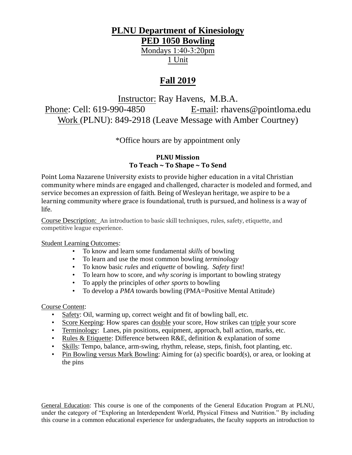# **PLNU Department of Kinesiology**

**PED 1050 Bowling**

Mondays 1:40-3:20pm 1 Unit

## **Fall 2019**

Instructor: Ray Havens, M.B.A. Phone: Cell: 619-990-4850 E-mail: rhavens@pointloma.edu Work (PLNU): 849-2918 (Leave Message with Amber Courtney)

\*Office hours are by appointment only

## **PLNU Mission To Teach ~ To Shape ~ To Send**

Point Loma Nazarene University exists to provide higher education in a vital Christian community where minds are engaged and challenged, character is modeled and formed, and service becomes an expression of faith. Being of Wesleyan heritage, we aspire to be a learning community where grace is foundational, truth is pursued, and holiness is a way of life.

Course Description: An introduction to basic skill techniques, rules, safety, etiquette, and competitive league experience.

## Student Learning Outcomes:

- To know and learn some fundamental *skills* of bowling
- To learn and use the most common bowling *terminology*
- To know basic *rules* and *etiquette* of bowling. *Safety* first!
- To learn how to score, and *why scoring* is important to bowling strategy
- To apply the principles of *other sports* to bowling
- To develop a *PMA* towards bowling (PMA=Positive Mental Attitude)

#### Course Content:

- Safety: Oil, warming up, correct weight and fit of bowling ball, etc.
- Score Keeping: How spares can double your score, How strikes can triple your score
- Terminology: Lanes, pin positions, equipment, approach, ball action, marks, etc.
- Rules & Etiquette: Difference between R&E, definition & explanation of some
- Skills: Tempo, balance, arm-swing, rhythm, release, steps, finish, foot planting, etc.
- Pin Bowling versus Mark Bowling: Aiming for (a) specific board(s), or area, or looking at the pins

General Education: This course is one of the components of the General Education Program at PLNU, under the category of "Exploring an Interdependent World, Physical Fitness and Nutrition." By including this course in a common educational experience for undergraduates, the faculty supports an introduction to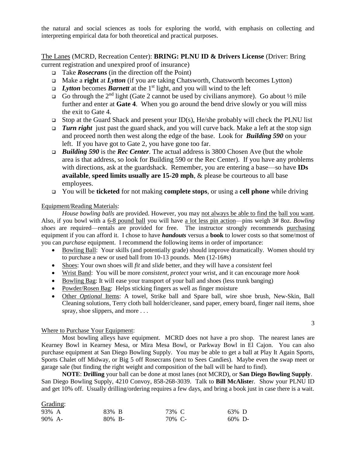the natural and social sciences as tools for exploring the world, with emphasis on collecting and interpreting empirical data for both theoretical and practical purposes.

#### The Lanes (MCRD, Recreation Center): **BRING: PLNU ID & Drivers License** (Driver: Bring current registration and unexpired proof of insurance)

- Take *Rosecrans* (in the direction off the Point)
- Make a **right** at *Lytton* (if you are taking Chatsworth, Chatsworth becomes Lytton)
- *Lytton* becomes *Barnett* at the 1<sup>st</sup> light, and you will wind to the left
- Go through the 2<sup>nd</sup> light (Gate 2 cannot be used by civilians anymore). Go about  $\frac{1}{2}$  mile further and enter at **Gate 4**. When you go around the bend drive slowly or you will miss the exit to Gate 4.
- $\Box$  Stop at the Guard Shack and present your ID(s), He/she probably will check the PLNU list
- *Turn right* just past the guard shack, and you will curve back. Make a left at the stop sign and proceed north then west along the edge of the base. Look for *Building 590* on your left. If you have got to Gate 2, you have gone too far.
- *Building 590* is the *Rec Center*. The actual address is 3800 Chosen Ave (but the whole area is that address, so look for Building 590 or the Rec Center). If you have any problems with directions, ask at the guardshack. Remember, you are entering a base—so have **IDs available**, **speed limits usually are 15-20 mph**, & please be courteous to all base employees.
- You will be **ticketed** for not making **complete stops**, or using a **cell phone** while driving

#### Equipment/Reading Materials:

*House bowling balls* are provided. However, you may not always be able to find the ball you want. Also, if you bowl with a 6-8 pound ball you will have a lot less pin action—pins weigh 3# 8oz. *Bowling shoes* are required—rentals are provided for free. The instructor strongly recommends purchasing equipment if you can afford it. I chose to have *handouts* versus a **book** to lower costs so that some/most of you can *purchase* equipment. I recommend the following items in order of importance:

- Bowling Ball: Your skills (and potentially grade) should improve dramatically. Women should try to purchase a new or used ball from 10-13 pounds. Men (12-16#s)
- Shoes: Your own shoes will *fit* and *slide* better, and they will have a *consistent* feel
- Wrist Band: You will be more *consistent*, *protect* your wrist, and it can encourage more *hook*
- Bowling Bag: It will ease your transport of your ball and shoes (less trunk banging)
- Powder/Rosen Bag: Helps sticking fingers as well as finger moisture
- Other *Optional* Items: A towel, Strike ball and Spare ball, wire shoe brush, New-Skin, Ball Cleaning solutions, Terry cloth ball holder/cleaner, sand paper, emery board, finger nail items, shoe spray, shoe slippers, and more ...

3

#### Where to Purchase Your Equipment:

Most bowling alleys have equipment. MCRD does not have a pro shop. The nearest lanes are Kearney Bowl in Kearney Mesa, or Mira Mesa Bowl, or Parkway Bowl in El Cajon. You can also purchase equipment at San Diego Bowling Supply. You may be able to get a ball at Play It Again Sports, Sports Chalet off Midway, or Big 5 off Rosecrans (next to Sees Candies). Maybe even the swap meet or garage sale (but finding the right weight and composition of the ball will be hard to find).

**NOTE**: **Drilling** your ball can be done at most lanes (not MCRD), or **San Diego Bowling Supply**. San Diego Bowling Supply, 4210 Convoy, 858-268-3039. Talk to **Bill McAliste**r. Show your PLNU ID and get 10% off. Usually drilling/ordering requires a few days, and bring a book just in case there is a wait.

#### Grading:

| 93% A  | 83% B     | 73% C  | 63% D     |  |
|--------|-----------|--------|-----------|--|
| 90% A- | $80\%$ B- | 70% C- | $60\%$ D- |  |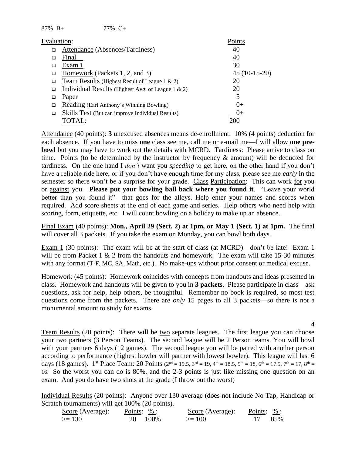87% B+ 77% C+

| Evaluation: |                                                       | Points         |
|-------------|-------------------------------------------------------|----------------|
| □           | Attendance (Absences/Tardiness)                       | 40             |
|             | Final                                                 | 40             |
| ◻           | Exam 1                                                | 30             |
|             | Homework (Packets 1, 2, and 3)                        | $45(10-15-20)$ |
| □           | Team Results (Highest Result of League 1 & 2)         | 20             |
| □           | Individual Results (Highest Avg. of League $1 \& 2$ ) | 20             |
| ◻           | Paper                                                 | 5              |
| □           | <b>Reading (Earl Anthony's Winning Bowling)</b>       | $()+$          |
| □           | Skills Test (But can improve Individual Results)      | $0+$           |
|             | TOTAL:                                                | 200            |

Attendance (40 points): **3** unexcused absences means de-enrollment. 10% (4 points) deduction for each absence. If you have to miss **one** class see me, call me or e-mail me—I will allow **one prebowl** but you may have to work out the details with MCRD. Tardiness: Please arrive to class on time. Points (to be determined by the instructor by frequency  $\&$  amount) will be deducted for tardiness. On the one hand I *don't* want you *speeding* to get here, on the other hand if you don't have a reliable ride here, or if you don't have enough time for my class, please see me *early* in the semester so there won't be a surprise for your grade. Class Participation: This can work for you or against you. **Please put your bowling ball back where you found it**. "Leave your world better than you found it"—that goes for the alleys. Help enter your names and scores when required. Add score sheets at the end of each game and series. Help others who need help with scoring, form, etiquette, etc. I will count bowling on a holiday to make up an absence.

Final Exam (40 points): **Mon., April 29 (Sect. 2) at 1pm, or May 1 (Sect. 1) at 1pm.** The final will cover all 3 packets. If you take the exam on Monday, you can bowl both days.

Exam 1 (30 points): The exam will be at the start of class (at MCRD)—don't be late! Exam 1 will be from Packet 1 & 2 from the handouts and homework. The exam will take 15-30 minutes with any format (T-F, MC, SA, Math, etc.). No make-ups without prior consent or medical excuse.

Homework (45 points): Homework coincides with concepts from handouts and ideas presented in class. Homework and handouts will be given to you in **3 packets**. Please participate in class—ask questions, ask for help, help others, be thoughtful. Remember no book is required, so most test questions come from the packets. There are *only* 15 pages to all 3 packets—so there is not a monumental amount to study for exams.

Team Results (20 points): There will be two separate leagues. The first league you can choose your two partners (3 Person Teams). The second league will be 2 Person teams. You will bowl with your partners 6 days (12 games). The second league you will be paired with another person according to performance (highest bowler will partner with lowest bowler). This league will last 6 days (18 games). 1<sup>st</sup> Place Team: 20 Points ( $2^{nd} = 19.5$ ,  $3^{rd} = 19$ ,  $4^{th} = 18.5$ ,  $5^{th} = 18$ ,  $6^{th} = 17.5$ ,  $7^{th} = 17$ ,  $8^{th} = 1$ 16. So the worst you can do is 80%, and the 2-3 points is just like missing one question on an exam. And you do have two shots at the grade (I throw out the worst)

Individual Results (20 points): Anyone over 130 average (does not include No Tap, Handicap or Scratch tournaments) will get 100% (20 points).

| Score (Average): | Points: $\%$ : | Score (Average): | Points: $\frac{\%}{\%}$ : |  |
|------------------|----------------|------------------|---------------------------|--|
| $\ge$ 130        | 20 100\%       | $>= 100$         | 17 85%                    |  |

4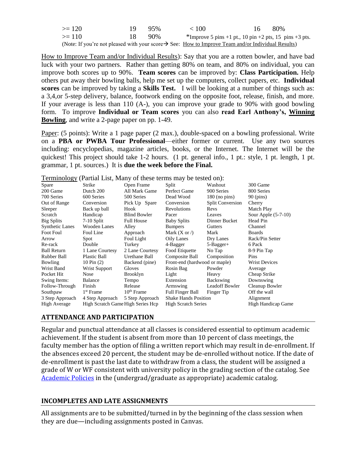| $>= 120$                                                                                                       | 19.             | - 95% | < 100                                                  | 16. | -80% |
|----------------------------------------------------------------------------------------------------------------|-----------------|-------|--------------------------------------------------------|-----|------|
| $>= 110$                                                                                                       | $\overline{18}$ | 90%   | *Improve 5 pins +1 pt., 10 pin +2 pts, 15 pins +3 pts. |     |      |
| (Note: If you're not pleased with your score $\rightarrow$ See: How to Improve Team and/or Individual Results) |                 |       |                                                        |     |      |

How to Improve Team and/or Individual Results): Say that you are a rotten bowler, and have bad luck with your two partners. Rather than getting 80% on team, and 80% on individual, you can improve both scores up to 90%. **Team scores** can be improved by: **Class Participation.** Help others put away their bowling balls, help me set up the computers, collect papers, etc. **Individual scores** can be improved by taking a **Skills Test.** I will be looking at a number of things such as: a 3,4,or 5-step delivery, balance, footwork ending on the opposite foot, release, finish, and more. If your average is less than 110 (A-), you can improve your grade to 90% with good bowling form. To improve **Individual or Team scores** you can also **read Earl Anthony's, Winning Bowling**, and write a 2-page paper on pp. 1-49.

Paper: (5 points): Write a 1 page paper (2 max.), double-spaced on a bowling professional. Write on a **PBA or PWBA Tour Professional**—either former or current. Use any two sources including: encyclopedias, magazine articles, books, or the Internet. The Internet will be the quickest! This project should take 1-2 hours. (1 pt. general info., 1 pt.: style, 1 pt. length, 1 pt. grammar, 1 pt. sources.) It is **due the week before the Final.**

| $\ldots$<br>$\frac{1}{2}$                         |                     |                            |                               |                           |                      |  |  |
|---------------------------------------------------|---------------------|----------------------------|-------------------------------|---------------------------|----------------------|--|--|
| Spare                                             | Strike              | Open Frame                 | Split                         | Washout                   | 300 Game             |  |  |
| 200 Game                                          | Dutch 200           | All Mark Game              | Perfect Game                  | 900 Series                | 800 Series           |  |  |
| 700 Series                                        | 600 Series          | 500 Series                 | Dead Wood                     | $180$ (no pins)           | $90$ (pins)          |  |  |
| Out of Range                                      | Conversion          | Pick Up Spare              | Conversion                    | <b>Split Conversion</b>   | Cherry               |  |  |
| Sleeper                                           | Back up ball        | Hook                       | Revolutions                   | Revs                      | Match Play           |  |  |
| Scratch                                           | Handicap            | <b>Blind Bowler</b>        | Pacer                         | Leaves                    | Sour Apple (5-7-10)  |  |  |
| <b>Big Splits</b>                                 | $7-10$ Split        | <b>Full House</b>          | <b>Baby Splits</b>            | Dinner Bucket             | Head Pin             |  |  |
| <b>Synthetic Lanes</b>                            | Wooden Lanes        | Alley                      | <b>Bumpers</b>                | <b>Gutters</b>            | Channel              |  |  |
| <b>Foot Foul</b>                                  | Foul Line           | Approach                   | Mark $(X \text{ or } \Delta)$ | Mark                      | <b>Boards</b>        |  |  |
| Arrow                                             | Spot                | Foul Light                 | Oily Lanes                    | Dry Lanes                 | Rack/Pin Setter      |  |  |
| Re-rack                                           | Double              | Turkey                     | 4-Bagger                      | $5 - Bager +$             | 6 Pack               |  |  |
| <b>Ball Return</b>                                | 1 Lane Courtesy     | 2 Lane Courtesy            | Food Etiquette                | No Tap                    | 8-9 Pin Tap          |  |  |
| Rubber Ball                                       | <b>Plastic Ball</b> | Urethane Ball              | Composite Ball                | Composition               | Pins                 |  |  |
| Bowling                                           | 10 Pin $(2)$        | Backend (pine)             | Front-end (hardwood or maple) |                           | <b>Wrist Devices</b> |  |  |
| Wrist Band                                        | Wrist Support       | Gloves                     | Rosin Bag                     | Powder                    | Average              |  |  |
| Pocket Hit                                        | <b>Nose</b>         | Brooklyn                   | Light                         | Heavy                     | Cheap Strike         |  |  |
| Swing Items:                                      | Balance             | Tempo                      | Extension                     | Backswing                 | Downswing            |  |  |
| Follow-Through                                    | Finish              | Release                    | Armswing                      | <b>Leadoff Bowler</b>     | Cleanup Bowler       |  |  |
| Southpaw                                          | $1st$ Frame         | $10th$ Frame               | Full Finger Ball              | Finger Tip                | Off the wall         |  |  |
| 3 Step Approach                                   | 4 Step Approach     | 5 Step Approach            | <b>Shake Hands Position</b>   |                           | Alignment            |  |  |
| High Scratch Game High Series Hcp<br>High Average |                     | <b>High Scratch Series</b> |                               | <b>High Handicap Game</b> |                      |  |  |
|                                                   |                     |                            |                               |                           |                      |  |  |

Terminology (Partial List, Many of these terms may be tested on):

## **ATTENDANCE AND PARTICIPATION**

Regular and punctual attendance at all classes is considered essential to optimum academic achievement. If the student is absent from more than 10 percent of class meetings, the faculty member has the option of filing a written report which may result in de-enrollment. If the absences exceed 20 percent, the student may be de-enrolled without notice. If the date of de-enrollment is past the last date to withdraw from a class, the student will be assigned a grade of W or WF consistent with university policy in the grading section of the catalog. See [Academic Policies](http://www.pointloma.edu/experience/academics/catalogs/undergraduate-catalog/point-loma-education/academic-policies) in the (undergrad/graduate as appropriate) academic catalog.

## **INCOMPLETES AND LATE ASSIGNMENTS**

All assignments are to be submitted/turned in by the beginning of the class session when they are due—including assignments posted in Canvas.